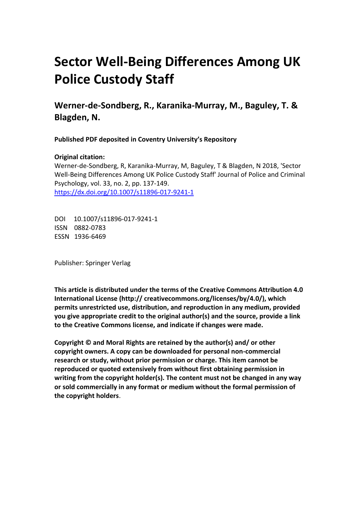# **Sector Well-Being Differences Among UK Police Custody Staff**

**Werner-de-Sondberg, R., Karanika-Murray, M., Baguley, T. & Blagden, N.**

**Published PDF deposited in Coventry University's Repository** 

### **Original citation:**

Werner-de-Sondberg, R, Karanika-Murray, M, Baguley, T & Blagden, N 2018, 'Sector Well-Being Differences Among UK Police Custody Staff' Journal of Police and Criminal Psychology, vol. 33, no. 2, pp. 137-149. https://dx.doi.org/10.1007/s11896-017-9241-1

DOI 10.1007/s11896-017-9241-1 ISSN 0882-0783 ESSN 1936-6469

Publisher: Springer Verlag

**This article is distributed under the terms of the Creative Commons Attribution 4.0 International License (http:// creativecommons.org/licenses/by/4.0/), which permits unrestricted use, distribution, and reproduction in any medium, provided you give appropriate credit to the original author(s) and the source, provide a link to the Creative Commons license, and indicate if changes were made.**

**Copyright © and Moral Rights are retained by the author(s) and/ or other copyright owners. A copy can be downloaded for personal non-commercial research or study, without prior permission or charge. This item cannot be reproduced or quoted extensively from without first obtaining permission in writing from the copyright holder(s). The content must not be changed in any way or sold commercially in any format or medium without the formal permission of the copyright holders**.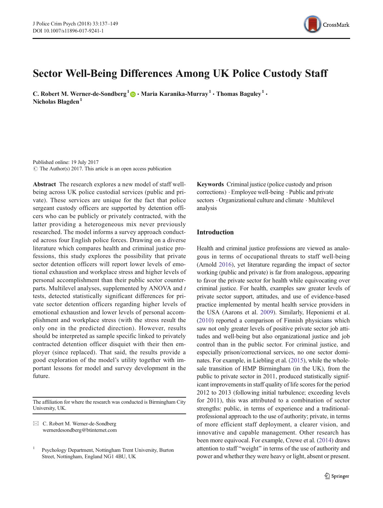

## Sector Well-Being Differences Among UK Police Custody Staff

C. Robert M. Werner-de-Sondberg<sup>1</sup>  $\bullet$  Maria Karanika-Murray<sup>1</sup> • Thomas Baguley<sup>1</sup> • Nicholas Blagden $<sup>1</sup>$ </sup>

Published online: 19 July 2017  $\circ$  The Author(s) 2017. This article is an open access publication

Abstract The research explores a new model of staff wellbeing across UK police custodial services (public and private). These services are unique for the fact that police sergeant custody officers are supported by detention officers who can be publicly or privately contracted, with the latter providing a heterogeneous mix never previously researched. The model informs a survey approach conducted across four English police forces. Drawing on a diverse literature which compares health and criminal justice professions, this study explores the possibility that private sector detention officers will report lower levels of emotional exhaustion and workplace stress and higher levels of personal accomplishment than their public sector counterparts. Multilevel analyses, supplemented by ANOVA and t tests, detected statistically significant differences for private sector detention officers regarding higher levels of emotional exhaustion and lower levels of personal accomplishment and workplace stress (with the stress result the only one in the predicted direction). However, results should be interpreted as sample specific linked to privately contracted detention officer disquiet with their then employer (since replaced). That said, the results provide a good exploration of the model's utility together with important lessons for model and survey development in the future.

The affiliation for where the research was conducted is Birmingham City University, UK.

 $\boxtimes$  C. Robert M. Werner-de-Sondberg [wernerdesondberg@btinternet.com](mailto:wernerdesondberg@btinternet.com) Keywords Criminal justice (police custody and prison corrections) . Employee well-being . Public and private sectors . Organizational culture and climate . Multilevel analysis

#### Introduction

Health and criminal justice professions are viewed as analogous in terms of occupational threats to staff well-being (Arnold [2016](#page-12-0)), yet literature regarding the impact of sector working (public and private) is far from analogous, appearing to favor the private sector for health while equivocating over criminal justice. For health, examples saw greater levels of private sector support, attitudes, and use of evidence-based practice implemented by mental health service providers in the USA (Aarons et al. [2009\)](#page-11-0). Similarly, Heponiemi et al. [\(2010](#page-12-0)) reported a comparison of Finnish physicians which saw not only greater levels of positive private sector job attitudes and well-being but also organizational justice and job control than in the public sector. For criminal justice, and especially prison/correctional services, no one sector dominates. For example, in Liebling et al. [\(2015\)](#page-12-0), while the wholesale transition of HMP Birmingham (in the UK), from the public to private sector in 2011, produced statistically significant improvements in staff quality of life scores for the period 2012 to 2013 (following initial turbulence; exceeding levels for 2011), this was attributed to a combination of sector strengths: public, in terms of experience and a traditionalprofessional approach to the use of authority; private, in terms of more efficient staff deployment, a clearer vision, and innovative and capable management. Other research has been more equivocal. For example, Crewe et al. [\(2014\)](#page-12-0) draws attention to staff "weight" in terms of the use of authority and power and whether they were heavy or light, absent or present.

<sup>1</sup> Psychology Department, Nottingham Trent University, Burton Street, Nottingham, England NG1 4BU, UK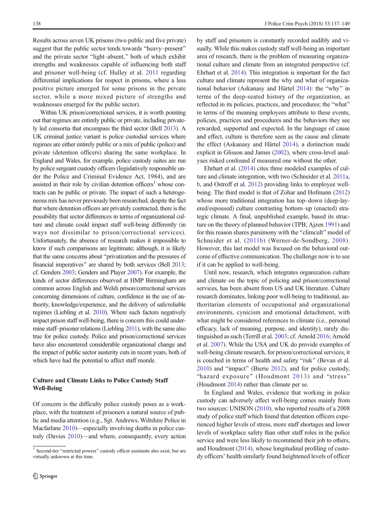Results across seven UK prisons (two public and five private) suggest that the public sector tends towards "heavy–present" and the private sector "light–absent," both of which exhibit strengths and weaknesses capable of influencing both staff and prisoner well-being (cf. Hulley et al. [2011](#page-12-0) regarding differential implications for respect in prisons, where a less positive picture emerged for some prisons in the private sector, while a more mixed picture of strengths and weaknesses emerged for the public sector).

Within UK prison/correctional services, it is worth pointing out that regimes are entirely public or private, including privately led consortia that encompass the third sector (Bell [2013\)](#page-12-0). A UK criminal justice variant is police custodial services where regimes are either entirely public or a mix of public (police) and private (detention officers) sharing the same workplace. In England and Wales, for example, police custody suites are run by police sergeant custody officers (legislatively responsible under the Police and Criminal Evidence Act, 1984), and are assisted in their role by civilian detention officers<sup>1</sup> whose contracts can be public or private. The impact of such a heterogeneous mix has never previously been researched, despite the fact that where detention officers are privately contracted, there is the possibility that sector differences in terms of organizational culture and climate could impact staff well-being differently (in ways not dissimilar to prison/correctional services). Unfortunately, the absence of research makes it impossible to know if such comparisons are legitimate; although, it is likely that the same concerns about "privatization and the pressures of financial imperatives" are shared by both services (Bell [2013](#page-12-0); cf. Genders [2003](#page-12-0); Genders and Player [2007](#page-12-0)). For example, the kinds of sector differences observed at HMP Birmingham are common across English and Welsh prison/correctional services concerning dimensions of culture, confidence in the use of authority, knowledge/experience, and the delivery of safe/reliable regimes (Liebling et al. [2010\)](#page-12-0). Where such factors negatively impact prison staff well-being, there is concern this could undermine staff–prisoner relations (Liebling [2011\)](#page-12-0), with the same also true for police custody. Police and prison/correctional services have also encountered considerable organizational change and the impact of public sector austerity cuts in recent years, both of which have had the potential to affect staff morale.

#### Culture and Climate Links to Police Custody Staff Well-Being

Of concern is the difficulty police custody poses as a workplace, with the treatment of prisoners a natural source of public and media attention (e.g., Sgt. Andrews, Wiltshire Police in Macfarlane [2010\)](#page-12-0)—especially involving deaths in police custody (Davies [2010\)](#page-12-0)—and where, consequently, every action by staff and prisoners is constantly recorded audibly and visually. While this makes custody staff well-being an important area of research, there is the problem of measuring organizational culture and climate from an integrated perspective (cf. Ehrhart et al. [2014](#page-12-0)). This integration is important for the fact culture and climate represent the why and what of organiza-tional behavior (Askanasy and Härtel [2014](#page-12-0)): the "why" in terms of the deep-seated history of the organization, as reflected in its policies, practices, and procedures; the "what" in terms of the meaning employees attribute to these events, policies, practices and procedures and the behaviors they see rewarded, supported and expected. In the language of cause and effect, culture is therefore seen as the cause and climate the effect (Askanasy and Härtel [2014\)](#page-12-0), a distinction made explicit in Glisson and James ([2002](#page-12-0)), where cross-level analyses risked confound if measured one without the other.

Ehrhart et al. [\(2014\)](#page-12-0) cites three modeled examples of culture and climate integration, with two (Schneider et al. [2011a,](#page-13-0) [b](#page-13-0), and Ostroff et al. [2012](#page-12-0)) providing links to employee wellbeing. The third model is that of Zohar and Hofmann [\(2012](#page-13-0)) whose more traditional integration has top–down (deep-layered/espoused) culture contrasting bottom–up (enacted) strategic climate. A final, unpublished example, based its structure on the theory of planned behavior (TPB; Ajzen [1991\)](#page-12-0) and for this reason shares parsimony with the "climcult" model of Schneider et al. ([2011b\)](#page-13-0) (Werner-de-Sondberg, [2008](#page-13-0)). However, this last model was focused on the behavioral outcome of effective communication. The challenge now is to see if it can be applied to well-being.

Until now, research, which integrates organization culture and climate on the topic of policing and prison/correctional services, has been absent from US and UK literature. Culture research dominates, linking poor well-being to traditional, authoritarian elements of occupational and organizational environments, cynicism and emotional detachment, with what might be considered references to climate (i.e., personal efficacy, lack of meaning, purpose, and identity), rarely distinguished as such (Terrill et al. [2003;](#page-13-0) cf. Arnold [2016](#page-12-0); Arnold et al. [2007](#page-12-0)). While the USA and UK do provide examples of well-being climate research, for prison/correctional services, it is couched in terms of health and safety "risk" (Bevan et al.  $2010$ ) and "impact" (Bierie [2012](#page-12-0)), and for police custody, "hazard exposure" (Houdmont [2013](#page-12-0)) and "stress" (Houdmont [2014](#page-12-0)) rather than climate per se.

In England and Wales, evidence that working in police custody can adversely affect well-being comes mainly from two sources: UNISON [\(2010\)](#page-13-0), who reported results of a 2008 study of police staff which found that detention officers experienced higher levels of stress, more staff shortages and lower levels of workplace safety than other staff roles in the police service and were less likely to recommend their job to others, and Houdmont [\(2014\)](#page-12-0), whose longitudinal profiling of custody officers' health similarly found heightened levels of officer

 $1$  Second-tier "restricted powers" custody officer assistants also exist, but are virtually unknown at this time.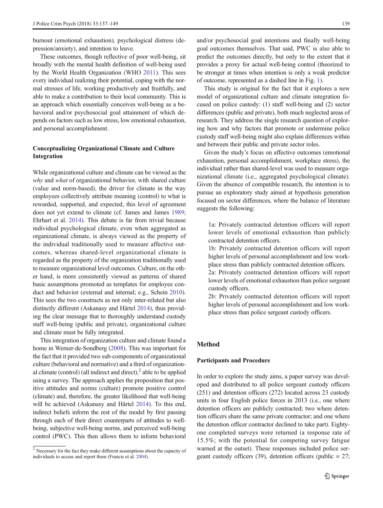burnout (emotional exhaustion), psychological distress (depression/anxiety), and intention to leave.

These outcomes, though reflective of poor well-being, sit broadly with the mental health definition of well-being used by the World Health Organization (WHO [2011](#page-13-0)). This sees every individual realizing their potential, coping with the normal stresses of life, working productively and fruitfully, and able to make a contribution to their local community. This is an approach which essentially conceives well-being as a behavioral and/or psychosocial goal attainment of which depends on factors such as low stress, low emotional exhaustion, and personal accomplishment.

#### Conceptualizing Organizational Climate and Culture Integration

While organizational culture and climate can be viewed as the why and what of organizational behavior, with shared culture (value and norm-based), the driver for climate in the way employees collectively attribute meaning (control) to what is rewarded, supported, and expected, this level of agreement does not yet extend to climate (cf. James and James [1989](#page-12-0); Ehrhart et al. [2014\)](#page-12-0). This debate is far from trivial because individual psychological climate, even when aggregated as organizational climate, is always viewed as the property of the individual traditionally used to measure affective outcomes, whereas shared-level organizational climate is regarded as the property of the organization traditionally used to measure organizational level outcomes. Culture, on the other hand, is more consistently viewed as patterns of shared basic assumptions promoted as templates for employee conduct and behavior (external and internal; e.g., Schein [2010\)](#page-13-0). This sees the two constructs as not only inter-related but also distinctly different (Askanasy and Härtel [2014\)](#page-12-0), thus providing the clear message that to thoroughly understand custody staff well-being (public and private), organizational culture and climate must be fully integrated.

This integration of organization culture and climate found a home in Werner-de-Sondberg [\(2008\)](#page-13-0). This was important for the fact that it provided two sub-components of organizational culture (behavioral and normative) and a third of organizational climate (control) (all indirect and direct), $\lambda^2$  able to be applied using a survey. The approach applies the proposition that positive attitudes and norms (culture) promote positive control (climate) and, therefore, the greater likelihood that well-being will be achieved (Askanasy and Härtel [2014](#page-12-0)). To this end, indirect beliefs inform the rest of the model by first passing through each of their direct counterparts of attitudes to wellbeing, subjective well-being norms, and perceived well-being control (PWC). This then allows them to inform behavioral

and/or psychosocial goal intentions and finally well-being goal outcomes themselves. That said, PWC is also able to predict the outcomes directly, but only to the extent that it provides a proxy for actual well-being control (theorized to be stronger at times when intention is only a weak predictor of outcome, represented as a dashed line in Fig. [1\)](#page-4-0).

This study is original for the fact that it explores a new model of organizational culture and climate integration focused on police custody: (1) staff well-being and (2) sector differences (public and private), both much neglected areas of research. They address the single research question of exploring how and why factors that promote or undermine police custody staff well-being might also explain differences within and between their public and private sector roles.

Given the study's focus on affective outcomes (emotional exhaustion, personal accomplishment, workplace stress), the individual rather than shared-level was used to measure organizational climate (i.e., aggregated psychological climate). Given the absence of compatible research, the intention is to pursue an exploratory study aimed at hypothesis generation focused on sector differences, where the balance of literature suggests the following:

- 1a: Privately contracted detention officers will report lower levels of emotional exhaustion than publicly contracted detention officers.
- 1b: Privately contracted detention officers will report higher levels of personal accomplishment and low workplace stress than publicly contracted detention officers.
- 2a: Privately contracted detention officers will report lower levels of emotional exhaustion than police sergeant custody officers.
- 2b: Privately contracted detention officers will report higher levels of personal accomplishment and low workplace stress than police sergeant custody officers.

#### Method

#### Participants and Procedure

In order to explore the study aims, a paper survey was developed and distributed to all police sergeant custody officers (251) and detention officers (272) located across 23 custody units in four English police forces in 2013 (i.e., one where detention officers are publicly contracted; two where detention officers share the same private contractor; and one where the detention officer contractor declined to take part). Eightyone completed surveys were returned (a response rate of 15.5%; with the potential for competing survey fatigue warned at the outset). These responses included police sergeant custody officers (39), detention officers (public  $= 27$ ;

 $2$  Necessary for the fact they make different assumptions about the capacity of individuals to access and report them (Francis et al. [2004](#page-12-0)).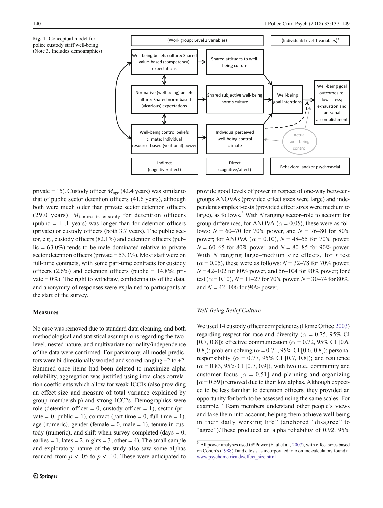<span id="page-4-0"></span>



private = 15). Custody officer  $M_{\text{age}}$  (42.4 years) was similar to that of public sector detention officers (41.6 years), although both were much older than private sector detention officers (29.0 years).  $M_{\text{tenure}}$  in custody for detention officers (public = 11.1 years) was longer than for detention officers (private) or custody officers (both 3.7 years). The public sector, e.g., custody officers (82.1%) and detention officers (pub $lic = 63.0\%$  tends to be male dominated relative to private sector detention officers (private = 53.3%). Most staff were on full-time contracts, with some part-time contracts for custody officers  $(2.6\%)$  and detention officers (public = 14.8%; private  $= 0\%$ ). The right to withdraw, confidentiality of the data, and anonymity of responses were explained to participants at the start of the survey.

#### **Measures**

No case was removed due to standard data cleaning, and both methodological and statistical assumptions regarding the twolevel, nested nature, and multivariate normality/independence of the data were confirmed. For parsimony, all model predictors were bi-directionally worded and scored ranging −2 to +2. Summed once items had been deleted to maximize alpha reliability, aggregation was justified using intra-class correlation coefficients which allow for weak ICC1s (also providing an effect size and measure of total variance explained by group membership) and strong ICC2s. Demographics were role (detention officer  $= 0$ , custody officer  $= 1$ ), sector (private = 0, public = 1), contract (part-time = 0, full-time = 1), age (numeric), gender (female  $= 0$ , male  $= 1$ ), tenure in custody (numeric), and shift when survey completed (days  $= 0$ , earlies = 1, lates = 2, nights = 3, other = 4). The small sample and exploratory nature of the study also saw some alphas reduced from  $p < .05$  to  $p < .10$ . These were anticipated to

provide good levels of power in respect of one-way betweengroups ANOVAs (provided effect sizes were large) and independent samples t-tests (provided effect sizes were medium to large), as follows.<sup>3</sup> With N ranging sector-role to account for group differences, for ANOVA ( $\alpha$  = 0.05), these were as follows:  $N = 60-70$  for 70% power, and  $N = 76-80$  for 80% power; for ANOVA ( $\alpha$  = 0.10),  $N = 48-55$  for 70% power,  $N = 60-65$  for 80% power, and  $N = 80-85$  for 90% power. With  $N$  ranging large–medium size effects, for  $t$  test  $(\alpha = 0.05)$ , these were as follows:  $N = 32-78$  for 70% power,  $N = 42 - 102$  for 80% power, and 56–104 for 90% power; for t test ( $\alpha$  = 0.10),  $N = 11-27$  for 70% power,  $N = 30-74$  for 80%, and  $N = 42 - 106$  for 90% power.

#### Well-Being Belief Culture

We used 14 custody officer competencies (Home Office [2003](#page-12-0)) regarding respect for race and diversity ( $\alpha = 0.75$ , 95% CI [0.7, 0.8]); effective communication ( $\alpha = 0.72$ , 95% CI [0.6, 0.8]); problem solving ( $\alpha = 0.71$ , 95% CI [0.6, 0.8]); personal responsibility ( $\alpha = 0.77$ , 95% CI [0.7, 0.8]); and resilience  $(\alpha = 0.83, 95\% \text{ CI} [0.7, 0.9])$ , with two (i.e., community and customer focus [ $\alpha$  = 0.51] and planning and organizing  $[\alpha = 0.59]$ ) removed due to their low alphas. Although expected to be less familiar to detention officers, they provided an opportunity for both to be assessed using the same scales. For example, "Team members understand other people's views and take them into account, helping them achieve well-being in their daily working life" (anchored "disagree" to "agree").These produced an alpha reliability of 0.92, 95%

 $3$  All power analyses used G\*Power (Faul et al., [2007\)](#page-12-0), with effect sizes based on Cohen's ([1988](#page-12-0)) f and d tests as incorporated into online calculators found at [www.psychometrica.de/effect\\_size.html](http://www.psychometrica.de/effect_size.html)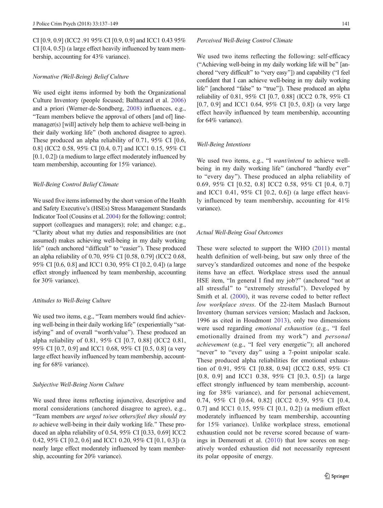CI [0.9, 0.9] (ICC2 .91 95% CI [0.9, 0.9] and ICC1 0.43 95% CI [0.4, 0.5]) (a large effect heavily influenced by team membership, accounting for 43% variance).

#### Normative (Well-Being) Belief Culture

We used eight items informed by both the Organizational Culture Inventory (people focused; Balthazard et al. [2006\)](#page-12-0) and a priori (Werner-de-Sondberg, [2008](#page-13-0)) influences, e.g., "Team members believe the approval of others [and of] linemanager(s) [will] actively help them to achieve well-being in their daily working life" (both anchored disagree to agree). These produced an alpha reliability of 0.71, 95% CI [0.6, 0.8] (ICC2 0.58, 95% CI [0.4, 0.7] and ICC1 0.15, 95% CI [0.1, 0.2]) (a medium to large effect moderately influenced by team membership, accounting for 15% variance).

#### Well-Being Control Belief Climate

We used five items informed by the short version of the Health and Safety Executive's (HSEs) Stress Management Standards Indicator Tool (Cousins et al. [2004](#page-12-0)) for the following: control; support (colleagues and managers); role; and change; e.g., BClarity about what my duties and responsibilities are (not assumed) makes achieving well-being in my daily working life" (each anchored "difficult" to "easier"). These produced an alpha reliability of 0.70, 95% CI [0.58, 0.79] (ICC2 0.68, 95% CI [0.6, 0.8] and ICC1 0.30, 95% CI [0.2, 0.4]) (a large effect strongly influenced by team membership, accounting for 30% variance).

#### Attitudes to Well-Being Culture

We used two items, e.g., "Team members would find achieving well-being in their daily working life" (experientially "satisfying" and of overall "worth/value"). These produced an alpha reliability of 0.81, 95% CI [0.7, 0.88] (ICC2 0.81, 95% CI [0.7, 0.9] and ICC1 0.68, 95% CI [0.5, 0.8] (a very large effect heavily influenced by team membership, accounting for 68% variance).

#### Subjective Well-Being Norm Culture

We used three items reflecting injunctive, descriptive and moral considerations (anchored disagree to agree), e.g., "Team members are urged to/see others/feel they should try to achieve well-being in their daily working life." These produced an alpha reliability of 0.54, 95% CI [0.33, 0.69] ICC2 0.42, 95% CI [0.2, 0.6] and ICC1 0.20, 95% CI [0.1, 0.3]) (a nearly large effect moderately influenced by team membership, accounting for 20% variance).

#### Perceived Well-Being Control Climate

We used two items reflecting the following: self-efficacy ("Achieving well-being in my daily working life will be" [anchored "very difficult" to "very easy"]) and capability ("I feel confident that I can achieve well-being in my daily working life" [anchored "false" to "true"]). These produced an alpha reliability of 0.81, 95% CI [0.7, 0.88] (ICC2 0.78, 95% CI [0.7, 0.9] and ICC1 0.64, 95% CI [0.5, 0.8]) (a very large effect heavily influenced by team membership, accounting for 64% variance).

#### Well-Being Intentions

We used two items, e.g., "I want/intend to achieve wellbeing in my daily working life" (anchored "hardly ever" to "every day"). These produced an alpha reliability of 0.69, 95% CI [0.52, 0.8] ICC2 0.58, 95% CI [0.4, 0.7] and ICC1 0.41, 95% CI [0.2, 0.6]) (a large effect heavily influenced by team membership, accounting for 41% variance).

#### Actual Well-Being Goal Outcomes

These were selected to support the WHO [\(2011](#page-13-0)) mental health definition of well-being, but saw only three of the survey's standardized outcomes and none of the bespoke items have an effect. Workplace stress used the annual HSE item, "In general I find my job?" (anchored "not at all stressful" to "extremely stressful"). Developed by Smith et al. ([2000\)](#page-13-0), it was reverse coded to better reflect low workplace stress. Of the 22-item Maslach Burnout Inventory (human services version; Maslach and Jackson, 1996 as cited in Houdmont [2013\)](#page-12-0), only two dimensions were used regarding emotional exhaustion (e.g., "I feel emotionally drained from my work") and *personal* achievement (e.g., "I feel very energetic"); all anchored "never" to "every day" using a 7-point unipolar scale. These produced alpha reliabilities for emotional exhaustion of 0.91, 95% CI [0.88, 0.94] (ICC2 0.85, 95% CI [0.8, 0.9] and ICC1 0.38, 95% CI [0.3, 0.5]) (a large effect strongly influenced by team membership, accounting for 38% variance), and for personal achievement, 0.74, 95% CI [0.64, 0.82] (ICC2 0.59, 95% CI [0.4, 0.7] and ICC1 0.15, 95% CI [0.1, 0.2]) (a medium effect moderately influenced by team membership, accounting for 15% variance). Unlike workplace stress, emotional exhaustion could not be reverse scored because of warnings in Demerouti et al. ([2010](#page-12-0)) that low scores on negatively worded exhaustion did not necessarily represent its polar opposite of energy.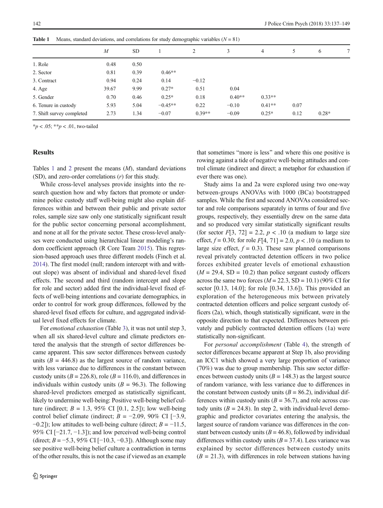|                           | $\overline{M}$ | <b>SD</b> |           |          | 3        | 4        | 5    | 6       | 7 |
|---------------------------|----------------|-----------|-----------|----------|----------|----------|------|---------|---|
| 1. Role                   | 0.48           | 0.50      |           |          |          |          |      |         |   |
| 2. Sector                 | 0.81           | 0.39      | $0.46**$  |          |          |          |      |         |   |
| 3. Contract               | 0.94           | 0.24      | 0.14      | $-0.12$  |          |          |      |         |   |
| 4. Age                    | 39.67          | 9.99      | $0.27*$   | 0.51     | 0.04     |          |      |         |   |
| 5. Gender                 | 0.70           | 0.46      | $0.25*$   | 0.18     | $0.40**$ | $0.33**$ |      |         |   |
| 6. Tenure in custody      | 5.93           | 5.04      | $-0.45**$ | 0.22     | $-0.10$  | $0.41**$ | 0.07 |         |   |
| 7. Shift survey completed | 2.73           | 1.34      | $-0.07$   | $0.39**$ | $-0.09$  | $0.25*$  | 0.12 | $0.28*$ |   |

<span id="page-6-0"></span>Table 1 Means, standard deviations, and correlations for study demographic variables (N = 81)

 $*_{p}$  < .05;  $*_{p}$  < .01, two-tailed

#### Results

Tables 1 and [2](#page-7-0) present the means  $(M)$ , standard deviations (SD), and zero-order correlations (r) for this study.

While cross-level analyses provide insights into the research question how and why factors that promote or undermine police custody staff well-being might also explain differences within and between their public and private sector roles, sample size saw only one statistically significant result for the public sector concerning personal accomplishment, and none at all for the private sector. These cross-level analyses were conducted using hierarchical linear modeling's random coefficient approach (R Core Team [2015](#page-12-0)). This regression-based approach uses three different models (Finch et al. [2014\)](#page-12-0). The first model (null; random intercept with and without slope) was absent of individual and shared-level fixed effects. The second and third (random intercept and slope for role and sector) added first the individual-level fixed effects of well-being intentions and covariate demographics, in order to control for work group differences, followed by the shared-level fixed effects for culture, and aggregated individual level fixed effects for climate.

For emotional exhaustion (Table [3](#page-8-0)), it was not until step 3, when all six shared-level culture and climate predictors entered the analysis that the strength of sector differences became apparent. This saw sector differences between custody units  $(B = 446.8)$  as the largest source of random variance, with less variance due to differences in the constant between custody units ( $B = 226.8$ ), role ( $B = 116.0$ ), and differences in individuals within custody units ( $B = 96.3$ ). The following shared-level predictors emerged as statistically significant, likely to undermine well-being: Positive well-being belief culture (indirect;  $B = 1.3$ , 95% CI [0.1, 2.5]); low well-being control belief climate (indirect;  $B = -2.09$ , 90% CI [-3.9,  $-0.2$ ]); low attitudes to well-being culture (direct;  $B = -11.5$ , 95% CI [−21.7, −1.3]); and low perceived well-being control (direct;  $B = -5.3$ , 95% CI [−10.3, −0.3]). Although some may see positive well-being belief culture a contradiction in terms of the other results, this is not the case if viewed as an example that sometimes "more is less" and where this one positive is rowing against a tide of negative well-being attitudes and control climate (indirect and direct; a metaphor for exhaustion if ever there was one).

Study aims 1a and 2a were explored using two one-way between-groups ANOVAs with 1000 (BCa) bootstrapped samples. While the first and second ANOVAs considered sector and role comparisons separately in terms of four and five groups, respectively, they essentially drew on the same data and so produced very similar statistically significant results (for sector  $F[3, 72] = 2.2$ ,  $p < .10$  (a medium to large size effect,  $f = 0.30$ ; for role  $F[4, 71] = 2.0, p < .10$  (a medium to large size effect,  $f = 0.3$ ). These saw planned comparisons reveal privately contracted detention officers in two police forces exhibited greater levels of emotional exhaustion  $(M = 29.4, SD = 10.2)$  than police sergeant custody officers across the same two forces  $(M = 22.3, SD = 10.1)$  (90% CI for sector [0.13, 14.0]; for role [0.34, 13.6]). This provided an exploration of the heterogeneous mix between privately contracted detention officers and police sergeant custody officers (2a), which, though statistically significant, were in the opposite direction to that expected. Differences between privately and publicly contracted detention officers (1a) were statistically non-significant.

For personal accomplishment (Table [4](#page-9-0)), the strength of sector differences became apparent at Step 1b, also providing an ICC1 which showed a very large proportion of variance (70%) was due to group membership. This saw sector differences between custody units ( $B = 148.3$ ) as the largest source of random variance, with less variance due to differences in the constant between custody units  $(B = 86.2)$ , individual differences within custody units  $(B = 36.7)$ , and role across custody units ( $B = 24.8$ ). In step 2, with individual-level demographic and predictor covariates entering the analysis, the largest source of random variance was differences in the constant between custody units  $(B = 46.8)$ , followed by individual differences within custody units  $(B = 37.4)$ . Less variance was explained by sector differences between custody units  $(B = 21.3)$ , with differences in role between stations having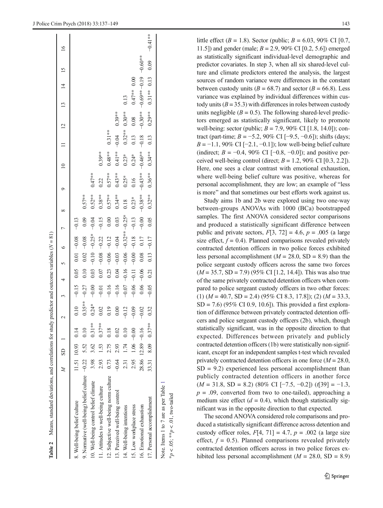<span id="page-7-0"></span>

| <b>Table 2</b> Means, standard deviations, and correlations for study predictor and outcome variables $(N = 81)$ |         |                         |                         |           |         |         |         |           |          |           |            |           |           |                |                                 |           |           |
|------------------------------------------------------------------------------------------------------------------|---------|-------------------------|-------------------------|-----------|---------|---------|---------|-----------|----------|-----------|------------|-----------|-----------|----------------|---------------------------------|-----------|-----------|
|                                                                                                                  |         | $M$ SD 1                |                         |           |         | 4       |         | $\circ$   |          |           |            |           |           | $\overline{c}$ | $\overline{4}$<br>$\frac{1}{3}$ |           | $\circ$   |
| 8. Well-being belief culture                                                                                     |         | 11.51 10.93 0.14        |                         | 0.10      | $-0.15$ | 0.05    | 0.01    | $-0.08$   | $-0.13$  |           |            |           |           |                |                                 |           |           |
| 9. Normative (well-being) belief culture $-0.22$ 5.52 0.10                                                       |         |                         |                         | $0.35***$ | $-0.27$ | 0.10    | 0.02    | $-0.08$   | 0.09     | $0.57***$ |            |           |           |                |                                 |           |           |
| 10. Well-being control belief climate                                                                            |         |                         | $3.98$ $3.62$ $0.31***$ | $0.24*$   | $-0.00$ | 0.03    | $-0.10$ | $-0.25*$  | $-0.04$  | $0.52***$ | $0.47***$  |           |           |                |                                 |           |           |
| 11. Attitudes to well-being culture                                                                              |         |                         | $2.93$ 1.53 0.37**      | 0.02      | $-0.01$ | 0.07    | $-0.08$ | $-0.22$   | $-0.15$  | $0.38***$ | 0.22       | $0.39***$ |           |                |                                 |           |           |
| 12. Subjective well-being norm culture                                                                           | 0.73    |                         | 2.75 0.18               | 0.19      | $-0.16$ | 0.23    | $-0.06$ | $-0.12$   | 0.00     | $0.57***$ | $0.57***$  | $0.48***$ | $0.31***$ |                |                                 |           |           |
| 13. Perceived well-being control                                                                                 | $-0.64$ | 2.93                    | 0.02                    | $0.00$    | $-0.16$ | 0.04    | $-0.03$ | $-0.04$   | 0.03     | $0.34***$ | $0.43***$  | $0.41***$ | $-0.04$   | $0.39***$      |                                 |           |           |
| 14. Well-being intentions                                                                                        |         | $2.31$ 1.74 0.10        |                         | $-0.12$   | $-0.07$ | $-0.16$ | $-0.06$ | $-0.32**$ | $-0.25*$ | 0.18      | $0.25*$    | $0.23*$   | $0.32***$ | $0.30***$      | 0.13                            |           |           |
| 15. Low workplace stress                                                                                         |         | $2.95$ 1.06 -0.00       |                         | $-0.09$   | $-0.06$ | $-0.11$ | $-0.00$ | $-0.18$   | $-0.13$  | $0.23*$   | 0.16       | $0.24*$   | 0.13      | 0.08           | $0.47***$ 0.00                  |           |           |
| 16. Emotional exhaustion                                                                                         |         | $28.86$ $12.89$ $-0.16$ |                         | $-0.02$   | 0.06    | $-0.06$ | 0.08    | 0.17      | $-0.00$  | $-0.38**$ | $-0.43***$ | $-0.46**$ | $-0.18$   | $-0.30**$      | $-0.69***-0.19$                 | $-0.60**$ |           |
| 17. Personal accomplishment                                                                                      |         |                         | 33.31 8.09 0.37**       | 0.32      | $-0.05$ | 0.21    | 0.13    | $-0.17$   | 0.05     | $0.32***$ | $0.36***$  | $0.34***$ | 0.13      | $0.29***$      | $0.31***$ 0.13                  | 0.09      | $-0.41**$ |
| Note. Items 1 to 7 are as per Table 1                                                                            |         |                         |                         |           |         |         |         |           |          |           |            |           |           |                |                                 |           |           |

\* $p < .05$ ; \*\* $p < .01$ , two-tailed

 $k_p < .05$ ; \*\* $p < .01$ , two-tailed

 $T_{\rm eff}$   $\sim$  2.2  $\sim$  2.2  $\sim$  2.2  $\sim$  2.2  $\sim$  2.2  $\sim$  2.2  $\sim$  2.2  $\sim$  2.2  $\sim$  2.2  $\sim$  2.2  $\sim$  2.2  $\sim$  2.2  $\sim$  2.2  $\sim$  2.2  $\sim$  2.2  $\sim$  2.2  $\sim$  2.2  $\sim$  2.2  $\sim$  2.2  $\sim$  2.2  $\sim$  2.2  $\sim$  2.2  $\sim$  2.2  $\sim$ 

ž

 $\frac{1}{6}$  $\Delta t$ 

Ę

little effect ( $B = 1.8$ ). Sector (public;  $B = 6.03$ , 90% CI [0.7, 11.5]) and gender (male;  $B = 2.9,90\%$  CI [0.2, 5.6]) emerged as statistically significant individual-level demographic and predictor covariates. In step 3, when all six shared-level culture and climate predictors entered the analysis, the largest sources of random variance were differences in the constant between custody units ( $B = 68.7$ ) and sector ( $B = 66.8$ ). Less variance was explained by individual differences within custody units  $(B = 35.3)$  with differences in roles between custody units negligible  $(B = 0.5)$ . The following shared-level predictors emerged as statistically significant, likely to promote well-being: sector (public;  $B = 7.9$ , 90% CI [1.8, 14.0]); contract (part-time;  $B = -5.2$ , 90% CI [−9.5, −0.6]); shifts (days;  $B = -1.1$ , 90% CI [−2.1, −0.1]); low well-being belief culture (indirect;  $B = -0.4$ , 90% CI [-0.8, -0.0]); and positive perceived well-being control (direct;  $B = 1.2$ , 90% CI [0.3, 2.2]). Here, one sees a clear contrast with emotional exhaustion, where well-being belief culture was positive, whereas for personal accomplishment, they are low; an example of "less is more" and that sometimes our best efforts work against us.

Study aims 1b and 2b were explored using two one-way between-groups ANOVAs with 1000 (BCa) bootstrapped samples. The first ANOVA considered sector comparisons and produced a statistically significant difference between public and private sectors,  $F[3, 72] = 4.6$ ,  $p = .005$  (a large size effect,  $f = 0.4$ ). Planned comparisons revealed privately contracted detention officers in two police forces exhibited less personal accomplishment ( $M = 28.0$ , SD = 8.9) than the police sergeant custody officers across the same two forces  $(M = 35.7, SD = 7.9)$  (95% CI [1.2, 14.4]). This was also true of the same privately contracted detention officers when compared to police sergeant custody officers in two other forces: (1)  $(M = 40.7, SD = 2.4)$  (95% CI 8.3, 17.8]); (2)  $(M = 33.3,$  $SD = 7.6$ ) (95% CI 0.9, 10.6]). This provided a first exploration of difference between privately contracted detention officers and police sergeant custody officers (2b), which, though statistically significant, was in the opposite direction to that expected. Differences between privately and publicly contracted detention officers (1b) were statistically non-significant, except for an independent samples t-test which revealed privately contracted detention officers in one force  $(M = 28.0,$  $SD = 9.2$ ) experienced less personal accomplishment than publicly contracted detention officers in another force  $(M = 31.8, SD = 8.2)$  (80% CI [-7.5, -0.2])  $(t[39] = -1.3,$  $p = .09$ , converted from two to one-tailed), approaching a medium size effect  $(d = 0.4)$ , which though statistically significant was in the opposite direction to that expected.

The second ANOVA considered role comparisons and produced a statistically significant difference across detention and custody officer roles,  $F[4, 71] = 4.7$ ,  $p = .002$  (a large size effect,  $f = 0.5$ ). Planned comparisons revealed privately contracted detention officers across in two police forces exhibited less personal accomplishment ( $M = 28.0$ , SD = 8.9)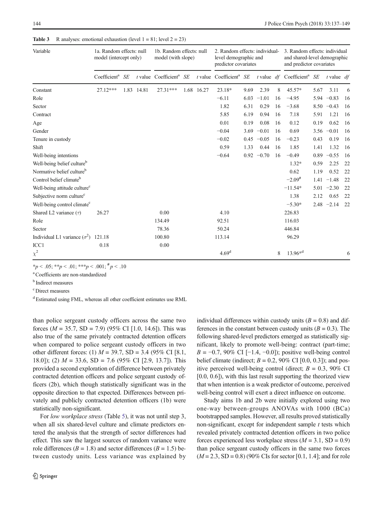| Variable                                   | 1a. Random effects: null<br>model (intercept only) |      |       | 1b. Random effects: null<br>model (with slope) |            | 2. Random effects: individual-<br>level demographic and<br>predictor covariates |      |              |    | 3. Random effects: individual<br>and shared-level demographic<br>and predictor covariates |      |               |     |
|--------------------------------------------|----------------------------------------------------|------|-------|------------------------------------------------|------------|---------------------------------------------------------------------------------|------|--------------|----|-------------------------------------------------------------------------------------------|------|---------------|-----|
|                                            | Coefficient <sup>a</sup> SE                        |      |       | $t$ value Coefficient <sup>a</sup> SE          |            | $t$ value Coefficient <sup>a</sup> $SE$                                         |      |              |    | $t$ value $df$ Coefficient <sup>a</sup> SE                                                |      | t value $df$  |     |
| Constant                                   | 27.12***                                           | 1.83 | 14.81 | 27.31***                                       | 1.68 16.27 | 23.18*                                                                          | 9.69 | 2.39         | 8  | $45.57*$                                                                                  | 5.67 | 3.11          | 6   |
| Role                                       |                                                    |      |       |                                                |            | $-6.11$                                                                         | 6.03 | $-1.01$      | 16 | $-4.95$                                                                                   |      | $5.94 -0.83$  | 16  |
| Sector                                     |                                                    |      |       |                                                |            | 1.82                                                                            | 6.31 | 0.29         | 16 | $-3.68$                                                                                   |      | $8.50 -0.43$  | -16 |
| Contract                                   |                                                    |      |       |                                                |            | 5.85                                                                            | 6.19 | 0.94         | 16 | 7.18                                                                                      | 5.91 | 1.21          | 16  |
| Age                                        |                                                    |      |       |                                                |            | 0.01                                                                            | 0.19 | 0.08         | 16 | 0.12                                                                                      | 0.19 | 0.62          | -16 |
| Gender                                     |                                                    |      |       |                                                |            | $-0.04$                                                                         |      | $3.69 -0.01$ | 16 | 0.69                                                                                      |      | $3.56 -0.01$  | -16 |
| Tenure in custody                          |                                                    |      |       |                                                |            | $-0.02$                                                                         |      | $0.45 -0.05$ | 16 | $-0.23$                                                                                   | 0.43 | 0.19          | -16 |
| Shift                                      |                                                    |      |       |                                                |            | 0.59                                                                            | 1.33 | 0.44         | 16 | 1.85                                                                                      | 1.41 | 1.32          | -16 |
| Well-being intentions                      |                                                    |      |       |                                                |            | $-0.64$                                                                         |      | $0.92 -0.70$ | 16 | $-0.49$                                                                                   |      | $0.89 - 0.55$ | -16 |
| Well-being belief culture <sup>b</sup>     |                                                    |      |       |                                                |            |                                                                                 |      |              |    | $1.32*$                                                                                   | 0.59 | 2.25          | 22  |
| Normative belief culture <sup>b</sup>      |                                                    |      |       |                                                |            |                                                                                 |      |              |    | 0.62                                                                                      | 1.19 | 0.52          | 22  |
| Control belief climate <sup>b</sup>        |                                                    |      |       |                                                |            |                                                                                 |      |              |    | $-2.09^{\#}$                                                                              |      | $1.41 - 1.48$ | 22  |
| Well-being attitude culture <sup>c</sup>   |                                                    |      |       |                                                |            |                                                                                 |      |              |    | $-11.54*$                                                                                 |      | $5.01 -2.30$  | 22  |
| Subjective norm culture <sup>c</sup>       |                                                    |      |       |                                                |            |                                                                                 |      |              |    | 1.38                                                                                      | 2.12 | 0.65          | 22  |
| Well-being control climate <sup>c</sup>    |                                                    |      |       |                                                |            |                                                                                 |      |              |    | $-5.30*$                                                                                  |      | $2.48 -2.14$  | 22  |
| Shared L2 variance $(\tau)$                | 26.27                                              |      |       | 0.00                                           |            | 4.10                                                                            |      |              |    | 226.83                                                                                    |      |               |     |
| Role                                       |                                                    |      |       | 134.49                                         |            | 92.51                                                                           |      |              |    | 116.03                                                                                    |      |               |     |
| Sector                                     |                                                    |      |       | 78.36                                          |            | 50.24                                                                           |      |              |    | 446.84                                                                                    |      |               |     |
| Individual L1 variance $(\sigma^2)$ 121.18 |                                                    |      |       | 100.80                                         |            | 113.14                                                                          |      |              |    | 96.29                                                                                     |      |               |     |
| ICC1                                       | 0.18                                               |      |       | 0.00                                           |            |                                                                                 |      |              |    |                                                                                           |      |               |     |
| $\chi^2$                                   |                                                    |      |       |                                                |            | 4.69 <sup>d</sup>                                                               |      |              | 8  | $13.96*d$                                                                                 |      |               | 6   |

<span id="page-8-0"></span>**Table 3** R analyses: emotional exhaustion (level  $1 = 81$ ; level  $2 = 23$ )

\*p < .05; \*\*p < .01; \*\*\*p < .001;  $\#$  p < .10

a Coefficients are non-standardized

<sup>b</sup> Indirect measures

c Direct measures

<sup>d</sup> Estimated using FML, whereas all other coefficient estimates use RML

than police sergeant custody officers across the same two forces ( $M = 35.7$ , SD = 7.9) (95% CI [1.0, 14.6]). This was also true of the same privately contracted detention officers when compared to police sergeant custody officers in two other different forces: (1)  $M = 39.7$ , SD = 3.4 (95% CI [8.1, 18.0]); (2)  $M = 33.6$ , SD = 7.6 (95% CI [2.9, 13.7]). This provided a second exploration of difference between privately contracted detention officers and police sergeant custody officers (2b), which though statistically significant was in the opposite direction to that expected. Differences between privately and publicly contracted detention officers (1b) were statistically non-significant.

For low workplace stress (Table [5](#page-10-0)), it was not until step 3, when all six shared-level culture and climate predictors entered the analysis that the strength of sector differences had effect. This saw the largest sources of random variance were role differences ( $B = 1.8$ ) and sector differences ( $B = 1.5$ ) between custody units. Less variance was explained by individual differences within custody units  $(B = 0.8)$  and differences in the constant between custody units  $(B = 0.3)$ . The following shared-level predictors emerged as statistically significant, likely to promote well-being: contract (part-time;  $B = -0.7,90\%$  CI [−1.4, −0.0]); positive well-being control belief climate (indirect;  $B = 0.2$ , 90% CI [0.0, 0.3]); and positive perceived well-being control (direct;  $B = 0.3$ , 90% CI [0.0, 0.6]), with this last result supporting the theorized view that when intention is a weak predictor of outcome, perceived well-being control will exert a direct influence on outcome.

Study aims 1b and 2b were initially explored using two one-way between-groups ANOVAs with 1000 (BCa) bootstrapped samples. However, all results proved statistically non-significant, except for independent sample  $t$  tests which revealed privately contracted detention officers in two police forces experienced less workplace stress  $(M = 3.1, SD = 0.9)$ than police sergeant custody officers in the same two forces  $(M = 2.3, SD = 0.8)$  (90% CIs for sector [0.1, 1.4]; and for role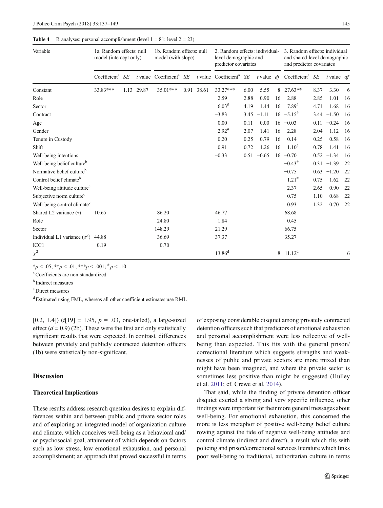| Variable                                 | 1a. Random effects: null<br>model (intercept only) |    |            | 1b. Random effects: null<br>model (with slope) |            | 2. Random effects: individual-<br>level demographic and<br>predictor covariates |      |               |    | 3. Random effects: individual<br>and shared-level demographic<br>and predictor covariates |      |               |     |
|------------------------------------------|----------------------------------------------------|----|------------|------------------------------------------------|------------|---------------------------------------------------------------------------------|------|---------------|----|-------------------------------------------------------------------------------------------|------|---------------|-----|
|                                          | Coefficient <sup>a</sup>                           | SE |            | $t$ value Coefficient <sup>a</sup> SE          |            | $t$ value Coefficient <sup>a</sup> SE                                           |      |               |    | t value $df$ Coefficient <sup>a</sup> SE                                                  |      | t value $df$  |     |
| Constant                                 | 33.83***                                           |    | 1.13 29.87 | 35.01***                                       | 0.91 38.61 | 33.27***                                                                        | 6.00 | 5.55          |    | 8 27.63**                                                                                 | 8.37 | 3.30          | 6   |
| Role                                     |                                                    |    |            |                                                |            | 2.59                                                                            | 2.88 | 0.90          | 16 | 2.88                                                                                      | 2.85 | 1.01          | -16 |
| Sector                                   |                                                    |    |            |                                                |            | $6.03*$                                                                         | 4.19 | 1.44          | 16 | $7.89^{\#}$                                                                               | 4.71 | 1.68          | -16 |
| Contract                                 |                                                    |    |            |                                                |            | $-3.83$                                                                         |      | $3.45 -1.11$  |    | $16 -5.15^{\#}$                                                                           |      | $3.44 - 1.50$ | 16  |
| Age                                      |                                                    |    |            |                                                |            | 0.00                                                                            | 0.11 | 0.00          |    | $16 - 0.03$                                                                               |      | $0.11 - 0.24$ | -16 |
| Gender                                   |                                                    |    |            |                                                |            | $2.92^{\#}$                                                                     | 2.07 | 1.41          | 16 | 2.28                                                                                      | 2.04 | 1.12          | -16 |
| Tenure in Custody                        |                                                    |    |            |                                                |            | $-0.20$                                                                         | 0.25 | $-0.79$       |    | $16 - 0.14$                                                                               |      | $0.25 -0.58$  | -16 |
| Shift                                    |                                                    |    |            |                                                |            | $-0.91$                                                                         |      | $0.72 -1.26$  |    | $16 -1.10^{\#}$                                                                           |      | $0.78 - 1.41$ | 16  |
| Well-being intentions                    |                                                    |    |            |                                                |            | $-0.33$                                                                         |      | $0.51 - 0.65$ |    | $16 - 0.70$                                                                               |      | $0.52 -1.34$  | -16 |
| Well-being belief culture <sup>b</sup>   |                                                    |    |            |                                                |            |                                                                                 |      |               |    | $-0.43$ <sup>#</sup>                                                                      |      | $0.31 -1.39$  | 22  |
| Normative belief culture <sup>b</sup>    |                                                    |    |            |                                                |            |                                                                                 |      |               |    | $-0.75$                                                                                   |      | $0.63 -1.20$  | 22  |
| Control belief climate <sup>b</sup>      |                                                    |    |            |                                                |            |                                                                                 |      |               |    | $1.21^{#}$                                                                                | 0.75 | 1.62          | 22  |
| Well-being attitude culture <sup>c</sup> |                                                    |    |            |                                                |            |                                                                                 |      |               |    | 2.37                                                                                      | 2.65 | 0.90          | 22  |
| Subjective norm culture <sup>c</sup>     |                                                    |    |            |                                                |            |                                                                                 |      |               |    | 0.75                                                                                      | 1.10 | 0.68          | 22  |
| Well-being control climate <sup>c</sup>  |                                                    |    |            |                                                |            |                                                                                 |      |               |    | 0.93                                                                                      | 1.32 | 0.70          | 22  |
| Shared L2 variance $(\tau)$              | 10.65                                              |    |            | 86.20                                          |            | 46.77                                                                           |      |               |    | 68.68                                                                                     |      |               |     |
| Role                                     |                                                    |    |            | 24.80                                          |            | 1.84                                                                            |      |               |    | 0.45                                                                                      |      |               |     |
| Sector                                   |                                                    |    |            | 148.29                                         |            | 21.29                                                                           |      |               |    | 66.75                                                                                     |      |               |     |
| Individual L1 variance $(\sigma^2)$      | 44.88                                              |    |            | 36.69                                          |            | 37.37                                                                           |      |               |    | 35.27                                                                                     |      |               |     |
| ICC1                                     | 0.19                                               |    |            | 0.70                                           |            |                                                                                 |      |               |    |                                                                                           |      |               |     |
| $\chi^2$                                 |                                                    |    |            |                                                |            | $13.86^{d}$                                                                     |      |               | 8  | $11.12^d$                                                                                 |      |               | 6   |

#### <span id="page-9-0"></span>**Table 4** R analyses: personal accomplishment (level  $1 = 81$ ; level  $2 = 23$ )

\*p < .05; \*\*p < .01; \*\*\*p < .001;  $\frac{\#p}{\sim}$ .10

a Coefficients are non-standardized

<sup>b</sup> Indirect measures

c Direct measures

<sup>d</sup> Estimated using FML, whereas all other coefficient estimates use RML

[0.2, 1.4]) (t[19] = 1.95,  $p = .03$ , one-tailed), a large-sized effect  $(d = 0.9)$  (2b). These were the first and only statistically significant results that were expected. In contrast, differences between privately and publicly contracted detention officers (1b) were statistically non-significant.

#### Discussion

#### Theoretical Implications

These results address research question desires to explain differences within and between public and private sector roles and of exploring an integrated model of organization culture and climate, which conceives well-being as a behavioral and/ or psychosocial goal, attainment of which depends on factors such as low stress, low emotional exhaustion, and personal accomplishment; an approach that proved successful in terms of exposing considerable disquiet among privately contracted detention officers such that predictors of emotional exhaustion and personal accomplishment were less reflective of wellbeing than expected. This fits with the general prison/ correctional literature which suggests strengths and weaknesses of public and private sectors are more mixed than might have been imagined, and where the private sector is sometimes less positive than might be suggested (Hulley et al. [2011;](#page-12-0) cf. Crewe et al. [2014\)](#page-12-0).

That said, while the finding of private detention officer disquiet exerted a strong and very specific influence, other findings were important for their more general messages about well-being. For emotional exhaustion, this concerned the more is less metaphor of positive well-being belief culture rowing against the tide of negative well-being attitudes and control climate (indirect and direct), a result which fits with policing and prison/correctional services literature which links poor well-being to traditional, authoritarian culture in terms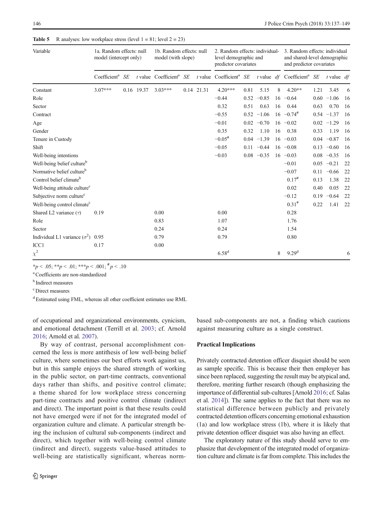| Variable                                 | 1a. Random effects: null<br>model (intercept only) |            | 1b. Random effects: null<br>model (with slope) |            | 2. Random effects: individual-<br>level demographic and<br>predictor covariates |      |               |    | 3. Random effects: individual<br>and shared-level demographic<br>and predictor covariates |      |               |      |
|------------------------------------------|----------------------------------------------------|------------|------------------------------------------------|------------|---------------------------------------------------------------------------------|------|---------------|----|-------------------------------------------------------------------------------------------|------|---------------|------|
|                                          | Coefficient <sup>a</sup> $SE$                      |            | $t$ value Coefficient <sup>a</sup> SE          |            | $t$ value Coefficient <sup>a</sup> SE                                           |      |               |    | $t$ value $df$ Coefficient <sup>a</sup> SE                                                |      | t value $df$  |      |
| Constant                                 | $3.07***$                                          | 0.16 19.37 | $3.03***$                                      | 0.14 21.31 | $4.20***$                                                                       | 0.81 | 5.15          | 8  | $4.20**$                                                                                  | 1.21 | 3.45          | 6    |
| Role                                     |                                                    |            |                                                |            | $-0.44$                                                                         |      | $0.52 -0.85$  |    | $16 - 0.64$                                                                               |      | $0.60 -1.06$  | -16  |
| Sector                                   |                                                    |            |                                                |            | 0.32                                                                            | 0.51 | 0.63          | 16 | 0.44                                                                                      | 0.63 | 0.70          | -16  |
| Contract                                 |                                                    |            |                                                |            | $-0.55$                                                                         |      | $0.52 -1.06$  |    | $16 -0.74$                                                                                |      | $0.54 -1.37$  | -16  |
| Age                                      |                                                    |            |                                                |            | $-0.01$                                                                         |      | $0.02 -0.70$  |    | $16 -0.02$                                                                                |      | $0.02 -1.29$  | -16  |
| Gender                                   |                                                    |            |                                                |            | 0.35                                                                            | 0.32 | 1.10          | 16 | 0.38                                                                                      | 0.33 | 1.19          | -16  |
| Tenure in Custody                        |                                                    |            |                                                |            | $-0.05$ <sup>#</sup>                                                            |      | $0.04 -1.39$  |    | $16 - 0.03$                                                                               |      | $0.04 -0.87$  | - 16 |
| Shift                                    |                                                    |            |                                                |            | $-0.05$                                                                         |      | $0.11 - 0.44$ |    | $16 - 0.08$                                                                               |      | $0.13 - 0.60$ | 16   |
| Well-being intentions                    |                                                    |            |                                                |            | $-0.03$                                                                         |      | $0.08 - 0.35$ |    | $16 - 0.03$                                                                               |      | $0.08 - 0.35$ | -16  |
| Well-being belief culture <sup>b</sup>   |                                                    |            |                                                |            |                                                                                 |      |               |    | $-0.01$                                                                                   |      | $0.05 -0.21$  | 22   |
| Normative belief culture <sup>b</sup>    |                                                    |            |                                                |            |                                                                                 |      |               |    | $-0.07$                                                                                   |      | $0.11 - 0.66$ | 22   |
| Control belief climate <sup>b</sup>      |                                                    |            |                                                |            |                                                                                 |      |               |    | $0.17^{#}$                                                                                | 0.13 | 1.38          | 22   |
| Well-being attitude culture <sup>c</sup> |                                                    |            |                                                |            |                                                                                 |      |               |    | 0.02                                                                                      | 0.40 | 0.05          | 22   |
| Subjective norm culture <sup>c</sup>     |                                                    |            |                                                |            |                                                                                 |      |               |    | $-0.12$                                                                                   | 0.19 | $-0.64$       | 22   |
| Well-being control climate <sup>c</sup>  |                                                    |            |                                                |            |                                                                                 |      |               |    | $0.31^{#}$                                                                                | 0.22 | 1.41          | 22   |
| Shared L2 variance $(\tau)$              | 0.19                                               |            | 0.00                                           |            | 0.00                                                                            |      |               |    | 0.28                                                                                      |      |               |      |
| Role                                     |                                                    |            | 0.83                                           |            | 1.07                                                                            |      |               |    | 1.76                                                                                      |      |               |      |
| Sector                                   |                                                    |            | 0.24                                           |            | 0.24                                                                            |      |               |    | 1.54                                                                                      |      |               |      |
| Individual L1 variance $(\sigma^2)$      | 0.95                                               |            | 0.79                                           |            | 0.79                                                                            |      |               |    | 0.80                                                                                      |      |               |      |
| ICC1                                     | 0.17                                               |            | 0.00                                           |            |                                                                                 |      |               |    |                                                                                           |      |               |      |
| $\chi^2$                                 |                                                    |            |                                                |            | 6.58 <sup>d</sup>                                                               |      |               | 8  | 9.29 <sup>d</sup>                                                                         |      |               | 6    |

<span id="page-10-0"></span>**Table 5** R analyses: low workplace stress (level  $1 = 81$ ; level  $2 = 23$ )

\*p < .05; \*\*p < .01; \*\*\*p < .001;  $\#$  p < .10

a Coefficients are non-standardized

<sup>b</sup> Indirect measures

c Direct measures

<sup>d</sup> Estimated using FML, whereas all other coefficient estimates use RML

of occupational and organizational environments, cynicism, and emotional detachment (Terrill et al. [2003](#page-13-0); cf. Arnold [2016;](#page-12-0) Arnold et al. [2007](#page-12-0)).

By way of contrast, personal accomplishment concerned the less is more antithesis of low well-being belief culture, where sometimes our best efforts work against us, but in this sample enjoys the shared strength of working in the public sector, on part-time contracts, conventional days rather than shifts, and positive control climate; a theme shared for low workplace stress concerning part-time contracts and positive control climate (indirect and direct). The important point is that these results could not have emerged were if not for the integrated model of organization culture and climate. A particular strength being the inclusion of cultural sub-components (indirect and direct), which together with well-being control climate (indirect and direct), suggests value-based attitudes to well-being are statistically significant, whereas normbased sub-components are not, a finding which cautions against measuring culture as a single construct.

#### Practical Implications

Privately contracted detention officer disquiet should be seen as sample specific. This is because their then employer has since been replaced, suggesting the result may be atypical and, therefore, meriting further research (though emphasizing the importance of differential sub-cultures [Arnold [2016](#page-12-0); cf. Salas et al. [2014](#page-12-0)]). The same applies to the fact that there was no statistical difference between publicly and privately contracted detention officers concerning emotional exhaustion (1a) and low workplace stress (1b), where it is likely that private detention officer disquiet was also having an effect.

The exploratory nature of this study should serve to emphasize that development of the integrated model of organization culture and climate is far from complete. This includes the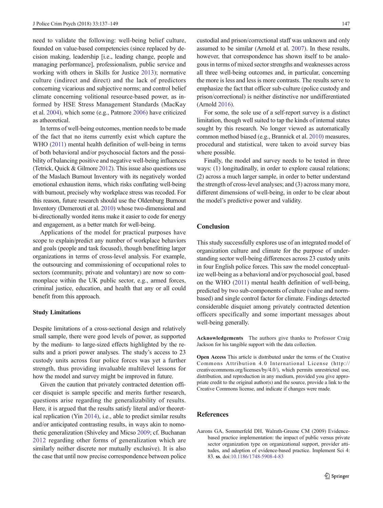<span id="page-11-0"></span>need to validate the following: well-being belief culture, founded on value-based competencies (since replaced by decision making, leadership [i.e., leading change, people and managing performance], professionalism, public service and working with others in Skills for Justice [2013\)](#page-13-0); normative culture (indirect and direct) and the lack of predictors concerning vicarious and subjective norms; and control belief climate concerning volitional resource-based power, as informed by HSE Stress Management Standards (MacKay et al. [2004](#page-12-0)), which some (e.g., Patmore [2006\)](#page-12-0) have criticized as atheoretical.

In terms of well-being outcomes, mention needs to be made of the fact that no items currently exist which capture the WHO ([2011\)](#page-13-0) mental health definition of well-being in terms of both behavioral and/or psychosocial factors and the possibility of balancing positive and negative well-being influences (Tetrick, Quick & Gilmore [2012](#page-13-0)). This issue also questions use of the Maslach Burnout Inventory with its negatively worded emotional exhaustion items, which risks conflating well-being with burnout, precisely why workplace stress was recoded. For this reason, future research should use the Oldenburg Burnout Inventory (Demerouti et al. [2010](#page-12-0)) whose two-dimensional and bi-directionally worded items make it easier to code for energy and engagement, as a better match for well-being.

Applications of the model for practical purposes have scope to explain/predict any number of workplace behaviors and goals (people and task focused), though benefitting larger organizations in terms of cross-level analysis. For example, the outsourcing and commissioning of occupational roles to sectors (community, private and voluntary) are now so commonplace within the UK public sector, e.g., armed forces, criminal justice, education, and health that any or all could benefit from this approach.

#### Study Limitations

Despite limitations of a cross-sectional design and relatively small sample, there were good levels of power, as supported by the medium- to large-sized effects highlighted by the results and a priori power analyses. The study's access to 23 custody units across four police forces was yet a further strength, thus providing invaluable multilevel lessons for how the model and survey might be improved in future.

Given the caution that privately contracted detention officer disquiet is sample specific and merits further research, questions arise regarding the generalizability of results. Here, it is argued that the results satisfy literal and/or theoretical replication (Yin [2014\)](#page-13-0), i.e., able to predict similar results and/or anticipated contrasting results, in ways akin to nomothetic generalization (Shiveley and Micso [2009](#page-13-0); cf. Buchanan [2012](#page-12-0) regarding other forms of generalization which are similarly neither discrete nor mutually exclusive). It is also the case that until now precise correspondence between police custodial and prison/correctional staff was unknown and only assumed to be similar (Arnold et al. [2007](#page-12-0)). In these results, however, that correspondence has shown itself to be analogous in terms of mixed sector strengths and weaknesses across all three well-being outcomes and, in particular, concerning the more is less and less is more contrasts. The results serve to emphasize the fact that officer sub-culture (police custody and prison/correctional) is neither distinctive nor undifferentiated (Arnold [2016\)](#page-12-0).

For some, the sole use of a self-report survey is a distinct limitation, though well suited to tap the kinds of internal states sought by this research. No longer viewed as automatically common method biased (e.g., Brannick et al. [2010](#page-12-0)) measures, procedural and statistical, were taken to avoid survey bias where possible.

Finally, the model and survey needs to be tested in three ways: (1) longitudinally, in order to explore causal relations; (2) across a much larger sample, in order to better understand the strength of cross-level analyses; and (3) across many more, different dimensions of well-being, in order to be clear about the model's predictive power and validity.

#### Conclusion

This study successfully explores use of an integrated model of organization culture and climate for the purpose of understanding sector well-being differences across 23 custody units in four English police forces. This saw the model conceptualize well-being as a behavioral and/or psychosocial goal, based on the WHO [\(2011](#page-13-0)) mental health definition of well-being, predicted by two sub-components of culture (value and normbased) and single control factor for climate. Findings detected considerable disquiet among privately contracted detention officers specifically and some important messages about well-being generally.

Acknowledgements The authors give thanks to Professor Craig Jackson for his tangible support with the data collection.

Open Access This article is distributed under the terms of the Creative Commons Attribution 4.0 International License (http:// creativecommons.org/licenses/by/4.0/), which permits unrestricted use, distribution, and reproduction in any medium, provided you give appropriate credit to the original author(s) and the source, provide a link to the Creative Commons license, and indicate if changes were made.

#### References

Aarons GA, Sommerfeld DH, Walrath-Greene CM (2009) Evidencebased practice implementation: the impact of public versus private sector organization type on organizational support, provider attitudes, and adoption of evidence-based practice. Implement Sci 4: 83. ss. doi[:10.1186/1748-5908-4-83](http://dx.doi.org/10.1186/1748-5908-4-83)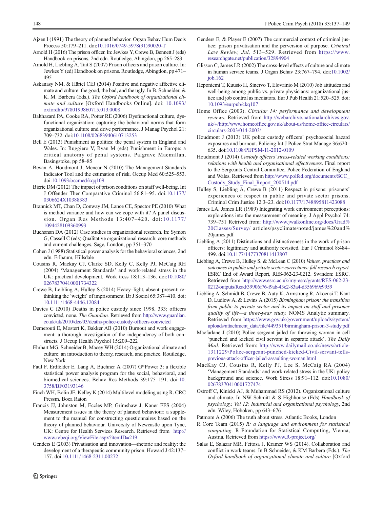- <span id="page-12-0"></span>Ajzen I (1991) The theory of planned behavior. Organ Behav Hum Decis Process 50:179–211. doi[:10.1016/0749-5978\(91\)90020-T](http://dx.doi.org/10.1016/0749-5978(91)90020-T)
- Arnold H (2016) The prison officer. In: Jewkes Y, Crewe B, Bennett J (eds) Handbook on prisons, 2nd edn. Routledge, Abingdon, pp 265–283
- Arnold H, Liebling A, Tait S (2007) Prison officers and prison culture. In: Jewkes Y (ed) Handbook on prisons. Routledge, Abingdon, pp 471– 495
- Askanasy NM, & Härtel CEJ (2014) Positive and negative affective climate and culture: the good, the bad, and the ugly. In B. Schneider, & K. M. Barbera (Eds.). The Oxford handbook of organizational climate and culture [Oxford Handbooks Online]. doi: [10.1093/](http://dx.doi.org/10.1093/oxfordhb/9780199860715.013.0008) [oxfordhb/9780199860715.013.0008](http://dx.doi.org/10.1093/oxfordhb/9780199860715.013.0008)
- Balthazard PA, Cooke RA, Potter RE (2006) Dysfunctional culture, dysfunctional organization: capturing the behavioral norms that form organizational culture and drive performance. J Manag Psychol 21: 709–732. doi[:10.1108/02683940610713253](http://dx.doi.org/10.1108/02683940610713253)
- Bell E (2013) Punishment as politics: the penal system in England and Wales. In: Ruggiero V, Ryan M (eds) Punishment in Europe: a critical anatomy of penal systems. Palgrave Macmillan, Basingstoke, pp 58–85
- Bevan A, Houdmont J, Menear N (2010) The Management Standards Indicator Tool and the estimation of risk. Occup Med 60:525–553. doi:[10.1093/occmed/kqq109](http://dx.doi.org/10.1093/occmed/kqq109)
- Bierie DM (2012) The impact of prison conditions on staff well-being. Int J Offender Ther Comparative Criminol 56:81–95. doi[:10.1177/](http://dx.doi.org/10.1177/0306624X10388383) [0306624X10388383](http://dx.doi.org/10.1177/0306624X10388383)
- Brannick MT, Chan D, Conway JM, Lance CE, Spector PE (2010) What is method variance and how can we cope with it? A panel discussion. Organ Res Methods 13:407–420. doi:[10.1177/](http://dx.doi.org/10.1177/1094428109360993) [1094428109360993](http://dx.doi.org/10.1177/1094428109360993)
- Buchanan DA (2012) Case studies in organizational research. In: Symon G, Cassell C (eds) Qualitative organizational research: core methods and current challenges. Sage, London, pp 351–370
- Cohen J (1988) Statistical power analysis for the behavioral sciences, 2nd edn. Erlbaum, Hillsdale
- Cousins R, Mackay CJ, Clarke SD, Kelly C, Kelly PJ, McCaig RH (2004) 'Management Standards' and work-related stress in the UK: practical development. Work tress 18:113–136. doi[:10.1080/](http://dx.doi.org/10.1080/02678370410001734322) [02678370410001734322](http://dx.doi.org/10.1080/02678370410001734322)
- Crewe B, Leibling A, Hulley S (2014) Heavy–light, absent–present: rethinking the 'weight' of imprisonment. Br J Sociol 65:387–410. doi: [10.1111/1468-4446.12084](http://dx.doi.org/10.1111/1468-4446.12084)
- Davies C (2010) Deaths in police custody since 1998, 333; officers convicted, none. The Guardian. Retrieved from [http://www.guardian.](http://www.guardian.co.uk/uk/2010/dec/03/deaths-police-custody-officers-convicted) [co.uk/uk/2010/dec/03/deaths-police-custody-officers-convicted](http://www.guardian.co.uk/uk/2010/dec/03/deaths-police-custody-officers-convicted)
- Demerouti E, Mostert K, Bakker AB (2010) Burnout and work engagement: a thorough investigation of the independency of both constructs. J Occup Health Psychol 15:209–222
- Ehrhart MG, Schneider B, Macey WH (2014) Organizational climate and culture: an introduction to theory, research, and practice. Routledge, New York
- Faul F, Erdfelder E, Lang A, Buchner A (2007) G\*Power 3: a flexible statistical power analysis program for the social, behavioral, and biomedical sciences. Behav Res Methods 39:175–191. doi[:10.](http://dx.doi.org/10.3758/BF03193146) [3758/BF03193146](http://dx.doi.org/10.3758/BF03193146)
- Finch WH, Bolin JE, Kelley K (2014) Multilevel modeling using R. CRC Pressm, Boca Raton
- Francis JJ, Johnston M, Eccles MP, Grimshaw J, Kaner EFS (2004) Measurement issues in the theory of planned behaviour: a supplement to the manual for constructing questionnaires based on the theory of planned behaviour. University of Newcastle upon Tyne, UK: Centre for Health Services Research. Retrieved from [http://](http://www.rebeqi.org/ViewFile.aspx?itemID=219) [www.rebeqi.org/ViewFile.aspx?itemID=219](http://www.rebeqi.org/ViewFile.aspx?itemID=219)
- Genders E (2003) Privatisation and innovation—rhetoric and reality: the development of a therapeutic community prison. Howard J 42:137– 157. doi[:10.1111/1468-2311.00272](http://dx.doi.org/10.1111/1468-2311.00272)
- Genders E, & Player E (2007) The commercial context of criminal justice: prison privatisation and the perversion of purpose. Criminal Law Review, Jul, 513–529. Retrieved from [https://www.](https://www.researchgate.net/publication/32894904) [researchgate.net/publication/32894904](https://www.researchgate.net/publication/32894904)
- Glisson C, James LR (2002) The cross-level effects of culture and climate in human service teams. J Organ Behav 23:767–794. doi[:10.1002/](http://dx.doi.org/10.1002/job.162) [job.162](http://dx.doi.org/10.1002/job.162)
- Heponiemi T, Kuusio H, Sinervo T, Elovainio M (2010) Job attitudes and well-being among public vs. private physicians: organizational justice and job control as mediators. Eur J Pub Health 21:520–525. doi: [10.1093/eurpub/ckq107](http://dx.doi.org/10.1093/eurpub/ckq107)
- Home Office (2003). Circular 14: performance and development reviews. Retrieved from [http://webarchive.nationalarchives.gov.](http://webarchive.nationalarchives.gov.uk/+/http:/www.homeoffice.gov.uk/about-us/home-office-circulars/circulars-2003/014-2003/) [uk/+/http:/www.homeoffice.gov.uk/about-us/home-office-circulars/](http://webarchive.nationalarchives.gov.uk/+/http:/www.homeoffice.gov.uk/about-us/home-office-circulars/circulars-2003/014-2003/) [circulars-2003/014-2003/](http://webarchive.nationalarchives.gov.uk/+/http:/www.homeoffice.gov.uk/about-us/home-office-circulars/circulars-2003/014-2003/)
- Houdmont J (2013) UK police custody officers' psychosocial hazard exposures and burnout. Policing Int J Police Strat Manage 36:620– 635. doi[:10.1108/PIJPSM-11-2012-0109](http://dx.doi.org/10.1108/PIJPSM-11-2012-0109)
- Houdmont J (2014) Custody officers'stress-related working conditions: relations with health and organisational effectiveness. Final report to the Sergeants Central Committee, Police Federation of England and Wales. Retrieved from [http://www.polfed.org/documents/SCC\\_](http://www.polfed.org/documents/SCC_Custody_Study_Final_Report_200514.pdf) [Custody\\_Study\\_Final\\_Report\\_200514.pdf](http://www.polfed.org/documents/SCC_Custody_Study_Final_Report_200514.pdf)
- Hulley S, Liebling A, Crewe B (2011) Respect in prisons: prisoners' experiences of respect in public and private sector prisons. Criminol Crim Justice 12:3–23. doi[:10.1177/1748895811423088](http://dx.doi.org/10.1177/1748895811423088)
- James LA, James LR (1989) Integrating work environment perceptions: explorations into the measurement of meaning. J Appl Psychol 74: 739–751 Retrived from: [http://www.jwalkonline.org/docs/Grad%](http://www.jwalkonline.org/docs/Grad%20Classes/Survey/) [20Classes/Survey/](http://www.jwalkonline.org/docs/Grad%20Classes/Survey/) articles/psyclimate/noted/james%20and% 20james.pdf
- Liebling A (2011) Distinctions and distinctiveness in the work of prison officers: legitimacy and authority revisited. Eur J Criminol 8:484– 499. doi[:10.1177/1477370811413807](http://dx.doi.org/10.1177/1477370811413807)
- Liebling A, Crewe B, Hulley S, & McLean C (2010) Values, practices and outcomes in public and private sector corrections: full research report. ESRC End of Award Report, RES-062-23-0212. Swindon: ESRC. Retrieved from [http://www.esrc.ac.uk/my-esrc/grants/RES-062-23-](http://www.esrc.ac.uk/my-esrc/grants/RES-062-23-0212/outputs/Read/39906f76-f9ab-43e2-83a4-d356969c9959) [0212/outputs/Read/39906f76-f9ab-43e2-83a4-d356969c9959](http://www.esrc.ac.uk/my-esrc/grants/RES-062-23-0212/outputs/Read/39906f76-f9ab-43e2-83a4-d356969c9959)
- Liebling A, Schmidt B, Crewe B, Auty K, Armstrong R, Akoensi T, Kant D, Ludlow A, & Levins A (2015) Birmingham prison: the transition from public to private sector and its impact on staff and prisoner quality of life—a three-year study. NOMS Analytic summary. Retrieved from [https://www.gov.uk/government/uploads/system/](https://www.gov.uk/government/uploads/system/uploads/attachment_data/file/449351/birmingham-prison-3-study.pdf) [uploads/attachment\\_data/file/449351/birmingham-prison-3-study.pdf](https://www.gov.uk/government/uploads/system/uploads/attachment_data/file/449351/birmingham-prison-3-study.pdf)
- Macfarlane J (2010) Police sergeant jailed for throwing woman in cell 'punched and kicked civil servant in separate attack', The Daily Mail. Retrieved from: [http://www.dailymail.co.uk/news/article-](http://www.dailymail.co.uk/news/article-1311229/Police-sergeant-punched-kicked-Civil-servant-tells-previous-attack-officer-jailed-assaulting-woman.html)[1311229/Police-sergeant-punched-kicked-Civil-servant-tells](http://www.dailymail.co.uk/news/article-1311229/Police-sergeant-punched-kicked-Civil-servant-tells-previous-attack-officer-jailed-assaulting-woman.html)[previous-attack-officer-jailed-assaulting-woman.html](http://www.dailymail.co.uk/news/article-1311229/Police-sergeant-punched-kicked-Civil-servant-tells-previous-attack-officer-jailed-assaulting-woman.html)
- MacKay CJ, Cousins R, Kelly PJ, Lee S, McCaig RA (2004) 'Management Standards' and work-related stress in the UK: policy background and science. Work Stress 18:91–112. doi:[10.1080/](http://dx.doi.org/10.1080/02678370410001727474) [02678370410001727474](http://dx.doi.org/10.1080/02678370410001727474)
- Ostroff C, Kinicki AJ, & Muhammad RS (2012). Organizational culture and climate. In NW Schmitt & S Highhouse (Eds) Handbook of psychology, Vol 12: Industrial and organizational psychology, 2nd edn. Wiley, Hoboken, pp 643–676
- Patmore A (2006) The truth about stress. Atlantic Books, London
- R Core Team (2015) R: a language and environment for statistical computing. R Foundation for Statistical Computing, Vienna, Austria. Retrieved from [https://www.R-project.org/](https://www.r-project.org/)
- Salas E, Salazar MR, Feitosa J, Kramer WS (2014). Collaboration and conflict in work teams. In B Schneider, & KM Barbera (Eds.). The Oxford handbook of organizational climate and culture [Oxford